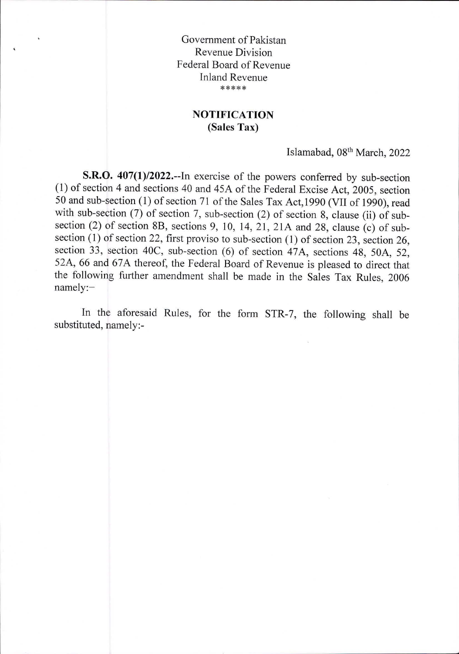Government of Pakistan Revenue Division Federal Board of Revenue Inland Revenue \*\*\*\*\*

## **NOTIFICATION (Sales Tax)**

Islamabad, 08th March, 2022

**S.R.O. 407(1)/2022.--In** exercise of the powers conferred by sub-section (1) of section 4 and sections 40 and 45A of the Federal Excise Act, 2005, section 50 and sub-section (1) of section 71 of the Sales Tax Act,1990 (VII of 1990), read with sub-section (7) of section 7, sub-section (2) of section 8, clause (ii) of subsection (2) of section 8B, sections 9, 10, 14, 21, 21A and 28, clause (c) of subsection (1) of section 22, first proviso to sub-section (1) of section 23, section 26, section 33, section 40C, sub-section (6) of section 47A, sections 48, 50A, 52, 52A, 66 and 67A thereof, the Federal Board of Revenue is pleased to direct that the following further amendment shall be made in the Sales Tax Rules, 2006 namely:—

In the aforesaid Rules, for the form STR-7, the following shall be substituted, namely:-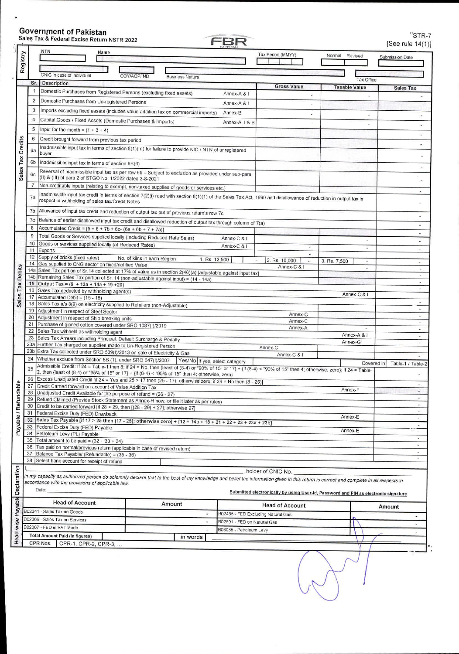## Government of Pakistan Sales Tax & Federal Excise Return NSTR 2022 "STR-7

 $\blacksquare$ 

|                       |                                                                                                                                                                                                                                          |                                       |                             |                                    |                                                                                     |              |                          | [See rule 14(1)]                   |
|-----------------------|------------------------------------------------------------------------------------------------------------------------------------------------------------------------------------------------------------------------------------------|---------------------------------------|-----------------------------|------------------------------------|-------------------------------------------------------------------------------------|--------------|--------------------------|------------------------------------|
|                       | <b>NTN</b><br>Name                                                                                                                                                                                                                       |                                       |                             |                                    | Tax Period (MMYY)                                                                   | Normal       | Revised                  | Submission Date                    |
| Registry              |                                                                                                                                                                                                                                          |                                       |                             |                                    |                                                                                     |              |                          |                                    |
|                       | CNIC in case of Individual                                                                                                                                                                                                               | COY/AOP/IND<br><b>Business Nature</b> |                             |                                    |                                                                                     |              |                          |                                    |
| Sr.                   | <b>Description</b>                                                                                                                                                                                                                       |                                       |                             |                                    |                                                                                     |              | <b>Tax Office</b>        |                                    |
| 1                     | Domestic Purchases from Registered Persons (excluding fixed assets)                                                                                                                                                                      |                                       |                             | Annex-A & I                        | <b>Gross Value</b>                                                                  |              | <b>Taxable Value</b>     | <b>Sales Tax</b>                   |
| $\overline{2}$        | Domestic Purchases from Un-registered Persons                                                                                                                                                                                            |                                       |                             |                                    |                                                                                     |              |                          |                                    |
| 3                     | Imports excluding fixed assets (includes value addition tax on commercial imports)                                                                                                                                                       |                                       |                             | Annex-A & I                        |                                                                                     |              |                          |                                    |
| 4                     |                                                                                                                                                                                                                                          |                                       |                             | Annex-B                            |                                                                                     |              |                          |                                    |
|                       | Capital Goods / Fixed Assets (Domestic Purchases & Imports)                                                                                                                                                                              |                                       |                             | Annex-A, I & B                     |                                                                                     |              |                          | $\blacksquare$                     |
| 5                     | Input for the month = $(1 + 3 + 4)$                                                                                                                                                                                                      |                                       |                             |                                    |                                                                                     |              |                          | g                                  |
| 6                     | Credit brought forward from previous tax period                                                                                                                                                                                          |                                       |                             |                                    |                                                                                     |              |                          |                                    |
| Credits<br>6a         | Inadmissible input tax in terms of section 8(1)(m) for failure to provide NIC / NTN of unregistered<br>buyer                                                                                                                             |                                       |                             |                                    |                                                                                     |              |                          |                                    |
| Tax<br>6 <sub>b</sub> | Inadmissible input tax in terms of section 8B(6)                                                                                                                                                                                         |                                       |                             |                                    |                                                                                     |              |                          |                                    |
|                       |                                                                                                                                                                                                                                          |                                       |                             |                                    |                                                                                     |              |                          |                                    |
| <b>Sales</b><br>60    | Reversal of Inadmissible input tax as per row 6b - Subject to exclusion as provided under sub-para<br>(II) & (III) of para 2 of STGO No. 1/2022 dated 3-8-2021                                                                           |                                       |                             |                                    |                                                                                     |              |                          |                                    |
| $\overline{7}$        | Non-creditable inputs (relating to exempt, non-taxed supplies of goods or services etc.)                                                                                                                                                 |                                       |                             |                                    |                                                                                     |              |                          |                                    |
| 7a                    | Inadmissible input tax credit in terms of section 7(2)(i) read with section 8(1)(1) of the Sales Tax Act, 1990 and disallowance of reduction in output tax in                                                                            |                                       |                             |                                    |                                                                                     |              |                          | $\tilde{\phantom{a}}$              |
|                       | respect of withholding of sales tax/Credit Notes                                                                                                                                                                                         |                                       |                             |                                    |                                                                                     |              |                          |                                    |
| 7b                    | Allowance of input tax credit and reduction of output tax out of previous return's row 7c                                                                                                                                                |                                       |                             |                                    |                                                                                     |              |                          |                                    |
| 7c                    | Balance of earlier disallowed input tax credit and disallowed reduction of output tax through column of 7(a)                                                                                                                             |                                       |                             |                                    |                                                                                     |              |                          |                                    |
| 8                     | Accumulated Credit = $[5 + 6 + 7b + 6c - (6a + 6b + 7 + 7a)]$                                                                                                                                                                            |                                       |                             |                                    |                                                                                     |              |                          | $\bar{a}$<br>$\tilde{\phantom{a}}$ |
| 9                     | Total Goods or Services supplied locally (Including Reduced Rate Sales)                                                                                                                                                                  |                                       |                             | Annex-C & I                        |                                                                                     |              | μ                        | ٠                                  |
| 10<br>11              | Goods or services supplied locally (at Reduced Rates)<br>Exports                                                                                                                                                                         |                                       |                             | Annex-C & I                        |                                                                                     |              | $\overline{\phantom{a}}$ | $\blacksquare$                     |
| 12                    | Supply of bricks (fixed rates)                                                                                                                                                                                                           | No. of kilns in each Region           |                             |                                    |                                                                                     |              |                          |                                    |
| 14                    | Gas supplied to CNG sector on fixed/notified Value                                                                                                                                                                                       |                                       | 1. Rs. 12,500               |                                    | 2. Rs. 10,000<br>$\overline{a}$<br>Annex-C & I                                      | 3. Rs. 7,500 | Ξ                        | $\blacksquare$                     |
| 14a                   | Sales Tax portion of Sr.14 collected at 17% of value as in section 2(46)(a) [adjustable against input tax]                                                                                                                               |                                       |                             |                                    |                                                                                     |              | u,                       | $\sim$                             |
| 14 <sub>b</sub><br>15 | Remaining Sales Tax portion of Sr. 14 (non-adjustable against input) = (14 - 14a)<br>Output Tax = $(9 + 13a + 14a + 19 + 20)$                                                                                                            |                                       |                             |                                    |                                                                                     |              |                          |                                    |
| 16                    | Sales Tax deducted by withholding agent(s)                                                                                                                                                                                               |                                       |                             |                                    |                                                                                     |              |                          |                                    |
| 17                    | Accumulated Debit = (15 - 16)                                                                                                                                                                                                            |                                       |                             |                                    |                                                                                     |              | Annex-C & I              |                                    |
| 18<br>19              | Sales Tax u/s 3(9) on electricity supplied to Retailers (non-Adjustable)                                                                                                                                                                 |                                       |                             |                                    |                                                                                     |              |                          |                                    |
| 20                    | Adjustment in respect of Steel Sector<br>Adjustment in respect of Ship breaking units                                                                                                                                                    |                                       |                             |                                    | Annex-C                                                                             |              |                          | ×                                  |
| 21                    | Purchase of ginned cotton covered under SRO 1087(I)/2019                                                                                                                                                                                 |                                       |                             |                                    | Annex-C<br>Annex-A                                                                  |              |                          | $\blacksquare$                     |
| 22                    | Sales Tax withheld as withholding agent                                                                                                                                                                                                  |                                       |                             | Annex-A & I                        | $\sim$<br>$\sim$                                                                    |              |                          |                                    |
| 23<br>23a             | Sales Tax Arrears including Principal, Default Surcharge & Penalty<br>Further Tax charged on supplies made to Un-Registered Person                                                                                                       |                                       |                             |                                    |                                                                                     |              | Annex-G                  | $\sim$                             |
| 23 <sub>b</sub>       | Extra Tax collected under SRO 509(I)/2013 on sale of Electricity & Gas                                                                                                                                                                   |                                       |                             |                                    | Annex-C<br>Annex-C & I                                                              |              |                          |                                    |
| 24                    | Whether exclude from Section 8B (1), under SRO 647(1)/2007                                                                                                                                                                               |                                       |                             | Yes/No If yes, select category     |                                                                                     |              | Covered in               | Table-1 / Table-2                  |
| 25                    | Admissible Credit: If 24 = Table-1 then 8; if 24 = No, then (least of (8-4) or "90% of 15" or 17} + {if (8-4) < "90% of 15" then 4; otherwise, zero}; if 24 = Table-                                                                     |                                       |                             |                                    |                                                                                     |              |                          |                                    |
| 26                    | 2, then {least of (8-4) or "95% of 15" or 17} + {if (8-4) < "95% of 15" then 4; otherwise, zero}<br>Excess Unadjusted Credit [if $24 = Yes$ and $25 > 17$ then $(25 - 17)$ ; otherwise zero; if $24 = No$ then $(8 - 25)$ ]              |                                       |                             |                                    |                                                                                     |              |                          |                                    |
| 27                    | Credit Carried forward on account of Value Addition Tax                                                                                                                                                                                  |                                       |                             |                                    |                                                                                     |              |                          | $\omega$                           |
| 28                    | Annex-F<br>Unadjusted Credit Available for the purpose of refund = $(26 - 27)$                                                                                                                                                           |                                       |                             |                                    |                                                                                     |              |                          |                                    |
| 29<br>30              | Refund Claimed (Provide Stock Statement as Annex-H now, or file it later as per rules)<br>Credit to be carried forward [if 28 > 29, then [(28 - 29) + 27]; otherwise 27]                                                                 |                                       |                             |                                    |                                                                                     |              |                          | ×.<br>$\rightarrow$                |
|                       | 31 Federal Excise Duty (FED) Drawback                                                                                                                                                                                                    |                                       |                             |                                    |                                                                                     |              |                          | $\overline{\phantom{a}}$           |
| 32                    | Sales Tax Payable [if 17 > 25 then (17 - 25); otherwise zero] + [12 + 14b + 18 + 21 + 22 + 23 + 23a + 23b]                                                                                                                               |                                       |                             |                                    |                                                                                     |              | Annex-E                  | ÷.                                 |
|                       | 33 Federal Excise Duty (FED) Payable                                                                                                                                                                                                     |                                       |                             |                                    |                                                                                     |              | Annex-E                  | $\blacksquare$<br>g.               |
| 35                    | 34   Petroleum Levy (PL) Payable<br>Total amount to be paid = $(32 + 33 + 34)$                                                                                                                                                           |                                       |                             |                                    |                                                                                     |              |                          |                                    |
| 36                    | Tax paid on normal/previous return (applicable in case of revised return)                                                                                                                                                                |                                       |                             |                                    |                                                                                     |              |                          | ä.                                 |
| 37                    | Balance Tax Payable/ (Refundable) = (35 - 36)                                                                                                                                                                                            |                                       |                             |                                    |                                                                                     |              |                          | ω.                                 |
|                       | 38 Select bank account for receipt of refund                                                                                                                                                                                             |                                       |                             |                                    |                                                                                     |              |                          |                                    |
|                       |                                                                                                                                                                                                                                          |                                       |                             |                                    | , holder of CNIC No.                                                                |              |                          |                                    |
|                       | in my capacity as authorized person do solemnly declare that to the best of my knowledge and belief the information given in this return is correct and complete in all respects in<br>accordance with the provisions of applicable law. |                                       |                             |                                    |                                                                                     |              |                          |                                    |
|                       | Date:                                                                                                                                                                                                                                    |                                       |                             |                                    | Submitted electronically by using User-Id, Password and PIN as electronic signature |              |                          |                                    |
|                       |                                                                                                                                                                                                                                          |                                       |                             |                                    |                                                                                     |              |                          |                                    |
|                       | <b>Head of Account</b>                                                                                                                                                                                                                   | Amount                                |                             |                                    | <b>Head of Account</b>                                                              |              |                          | Amount                             |
|                       | B02341 - Sales Tax on Goods<br>B02366 - Sales Tax on Services                                                                                                                                                                            |                                       | ٠                           | B02485 - FED Excluding Natural Gas |                                                                                     |              |                          |                                    |
|                       | B02367 - FED in VAT Mode                                                                                                                                                                                                                 |                                       | B02501 - FED on Natural Gas |                                    |                                                                                     |              |                          |                                    |
|                       | <b>Total Amount Paid (in figures)</b>                                                                                                                                                                                                    | in words                              |                             | B03085 - Petroleum Levy            |                                                                                     |              |                          | $\sim$                             |
|                       | CPR Nos.<br>CPR-1, CPR-2, CPR-3,                                                                                                                                                                                                         |                                       |                             |                                    |                                                                                     |              |                          |                                    |
|                       |                                                                                                                                                                                                                                          |                                       |                             |                                    |                                                                                     |              |                          |                                    |
|                       |                                                                                                                                                                                                                                          |                                       |                             |                                    |                                                                                     |              |                          |                                    |
|                       |                                                                                                                                                                                                                                          |                                       |                             |                                    |                                                                                     |              |                          |                                    |
|                       |                                                                                                                                                                                                                                          |                                       |                             |                                    |                                                                                     |              |                          |                                    |
|                       |                                                                                                                                                                                                                                          |                                       |                             |                                    |                                                                                     |              |                          |                                    |
|                       |                                                                                                                                                                                                                                          |                                       |                             |                                    |                                                                                     |              |                          |                                    |